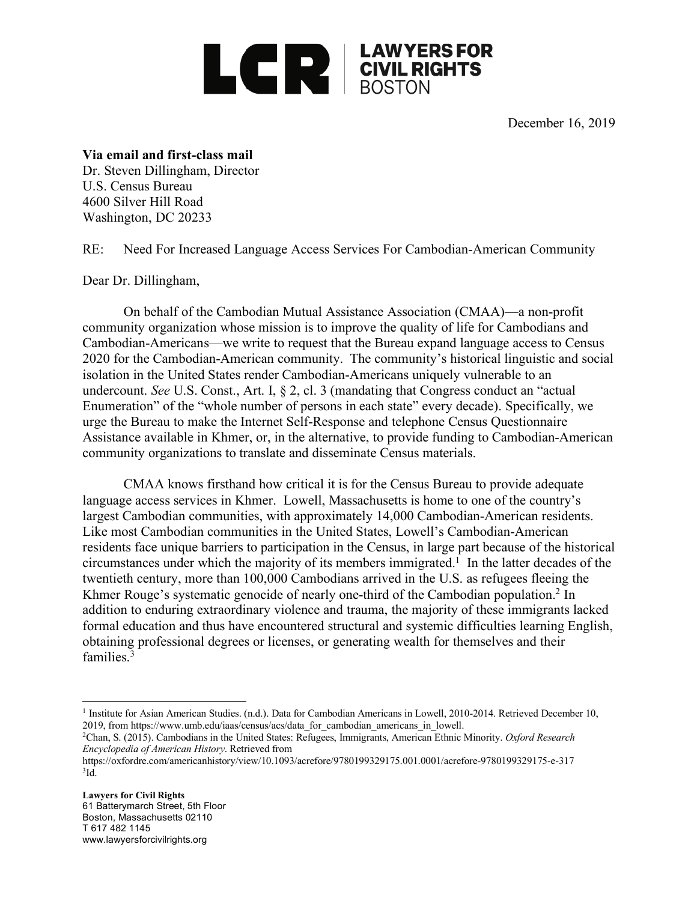

December 16, 2019

## **Via email and first-class mail**

Dr. Steven Dillingham, Director U.S. Census Bureau 4600 Silver Hill Road Washington, DC 20233

RE: Need For Increased Language Access Services For Cambodian-American Community

Dear Dr. Dillingham,

On behalf of the Cambodian Mutual Assistance Association (CMAA)—a non-profit community organization whose mission is to improve the quality of life for Cambodians and Cambodian-Americans—we write to request that the Bureau expand language access to Census 2020 for the Cambodian-American community. The community's historical linguistic and social isolation in the United States render Cambodian-Americans uniquely vulnerable to an undercount. *See* U.S. Const., Art. I, § 2, cl. 3 (mandating that Congress conduct an "actual Enumeration" of the "whole number of persons in each state" every decade). Specifically, we urge the Bureau to make the Internet Self-Response and telephone Census Questionnaire Assistance available in Khmer, or, in the alternative, to provide funding to Cambodian-American community organizations to translate and disseminate Census materials.

CMAA knows firsthand how critical it is for the Census Bureau to provide adequate language access services in Khmer. Lowell, Massachusetts is home to one of the country's largest Cambodian communities, with approximately 14,000 Cambodian-American residents. Like most Cambodian communities in the United States, Lowell's Cambodian-American residents face unique barriers to participation in the Census, in large part because of the historical circumstances under which the majority of its members immigrated. <sup>1</sup> In the latter decades of the twentieth century, more than 100,000 Cambodians arrived in the U.S. as refugees fleeing the Khmer Rouge's systematic genocide of nearly one-third of the Cambodian population. <sup>2</sup> In addition to enduring extraordinary violence and trauma, the majority of these immigrants lacked formal education and thus have encountered structural and systemic difficulties learning English, obtaining professional degrees or licenses, or generating wealth for themselves and their families.3

<sup>&</sup>lt;sup>1</sup> Institute for Asian American Studies. (n.d.). Data for Cambodian Americans in Lowell, 2010-2014. Retrieved December 10, 2019, from https://www.umb.edu/iaas/census/acs/data\_for\_cambodian\_americans\_in\_lowell.

<sup>2</sup>Chan, S. (2015). Cambodians in the United States: Refugees, Immigrants, American Ethnic Minority. *Oxford Research Encyclopedia of American History*. Retrieved from

https://oxfordre.com/americanhistory/view/10.1093/acrefore/9780199329175.001.0001/acrefore-9780199329175-e-317  $3$ Id.